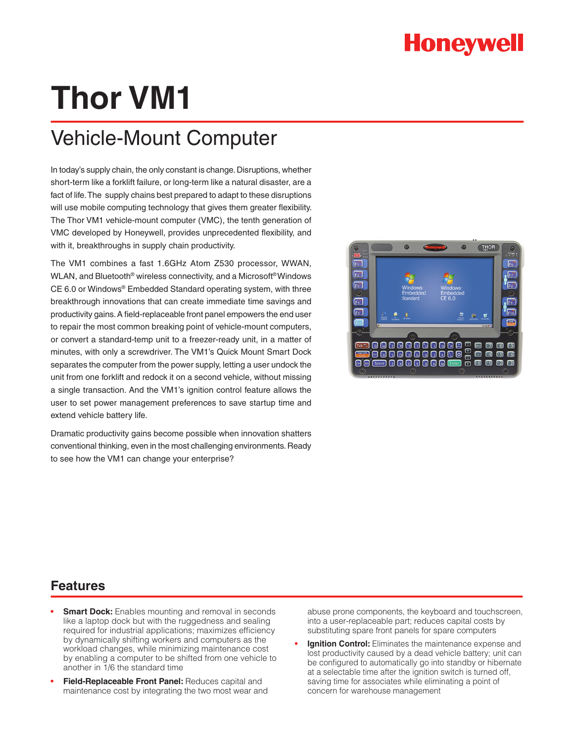# **Thor VM1**

## Vehicle-Mount Computer

In today's supply chain, the only constant is change. Disruptions, whether short-term like a forklift failure, or long-term like a natural disaster, are a fact of life. The supply chains best prepared to adapt to these disruptions will use mobile computing technology that gives them greater flexibility. The Thor VM1 vehicle-mount computer (VMC), the tenth generation of VMC developed by Honeywell, provides unprecedented flexibility, and with it, breakthroughs in supply chain productivity.

The VM1 combines a fast 1.6GHz Atom Z530 processor, WWAN, WLAN, and Bluetooth® wireless connectivity, and a Microsoft® Windows CE 6.0 or Windows® Embedded Standard operating system, with three breakthrough innovations that can create immediate time savings and productivity gains. A field-replaceable front panel empowers the end user to repair the most common breaking point of vehicle-mount computers, or convert a standard-temp unit to a freezer-ready unit, in a matter of minutes, with only a screwdriver. The VM1's Quick Mount Smart Dock separates the computer from the power supply, letting a user undock the unit from one forklift and redock it on a second vehicle, without missing a single transaction. And the VM1's ignition control feature allows the user to set power management preferences to save startup time and extend vehicle battery life.

Dramatic productivity gains become possible when innovation shatters conventional thinking, even in the most challenging environments. Ready to see how the VM1 can change your enterprise?



### **Features**

- **Smart Dock:** Enables mounting and removal in seconds like a laptop dock but with the ruggedness and sealing required for industrial applications; maximizes efficiency by dynamically shifting workers and computers as the workload changes, while minimizing maintenance cost by enabling a computer to be shifted from one vehicle to another in 1/6 the standard time
- **• Field-Replaceable Front Panel:** Reduces capital and maintenance cost by integrating the two most wear and

abuse prone components, the keyboard and touchscreen, into a user-replaceable part; reduces capital costs by substituting spare front panels for spare computers

**• Ignition Control:** Eliminates the maintenance expense and lost productivity caused by a dead vehicle battery; unit can be configured to automatically go into standby or hibernate at a selectable time after the ignition switch is turned off, saving time for associates while eliminating a point of concern for warehouse management